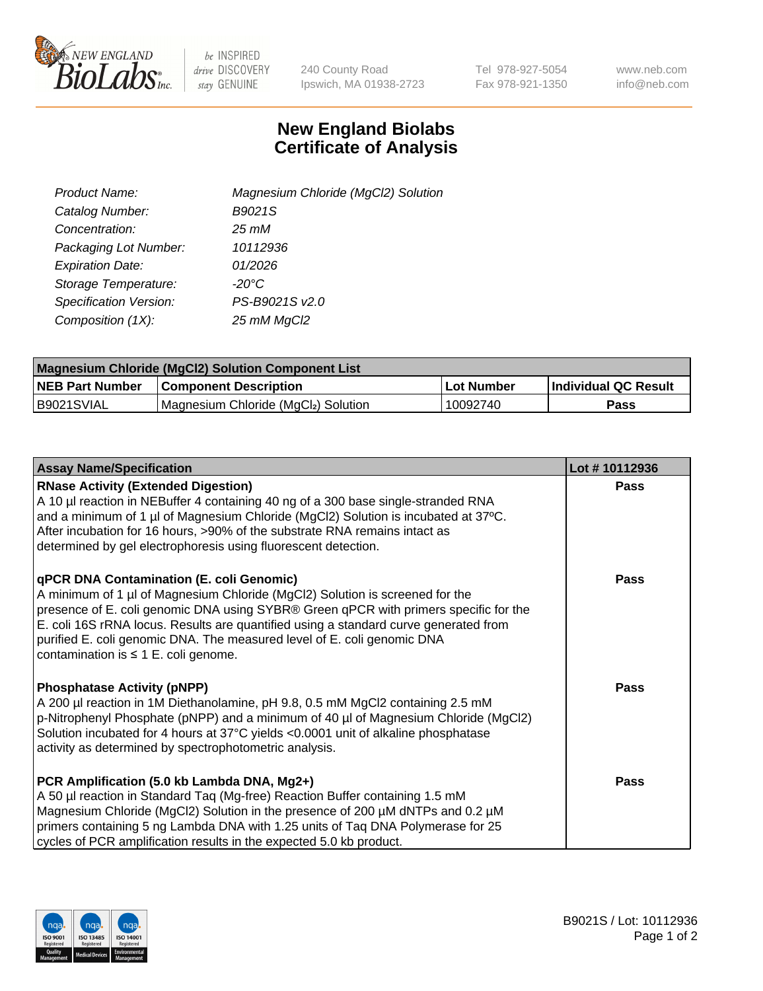

be INSPIRED drive DISCOVERY stay GENUINE

240 County Road Ipswich, MA 01938-2723 Tel 978-927-5054 Fax 978-921-1350 www.neb.com info@neb.com

## **New England Biolabs Certificate of Analysis**

| Product Name:           | Magnesium Chloride (MgCl2) Solution |
|-------------------------|-------------------------------------|
| Catalog Number:         | B9021S                              |
| Concentration:          | 25 mM                               |
| Packaging Lot Number:   | 10112936                            |
| <b>Expiration Date:</b> | 01/2026                             |
| Storage Temperature:    | $-20^{\circ}$ C                     |
| Specification Version:  | PS-B9021S v2.0                      |
| Composition (1X):       | 25 mM MgCl2                         |

| Magnesium Chloride (MgCl2) Solution Component List |                                     |            |                             |  |  |
|----------------------------------------------------|-------------------------------------|------------|-----------------------------|--|--|
| <b>NEB Part Number</b>                             | <b>Component Description</b>        | Lot Number | <b>Individual QC Result</b> |  |  |
| IB9021SVIAL                                        | Magnesium Chloride (MgCl2) Solution | 10092740   | Pass                        |  |  |

| <b>Assay Name/Specification</b>                                                                                                                                                                                                                                                                                                                                                                                                         | Lot #10112936 |
|-----------------------------------------------------------------------------------------------------------------------------------------------------------------------------------------------------------------------------------------------------------------------------------------------------------------------------------------------------------------------------------------------------------------------------------------|---------------|
| <b>RNase Activity (Extended Digestion)</b><br>A 10 µl reaction in NEBuffer 4 containing 40 ng of a 300 base single-stranded RNA<br>and a minimum of 1 µl of Magnesium Chloride (MgCl2) Solution is incubated at 37°C.<br>After incubation for 16 hours, >90% of the substrate RNA remains intact as<br>determined by gel electrophoresis using fluorescent detection.                                                                   | <b>Pass</b>   |
| <b>qPCR DNA Contamination (E. coli Genomic)</b><br>A minimum of 1 µl of Magnesium Chloride (MgCl2) Solution is screened for the<br>presence of E. coli genomic DNA using SYBR® Green qPCR with primers specific for the<br>E. coli 16S rRNA locus. Results are quantified using a standard curve generated from<br>purified E. coli genomic DNA. The measured level of E. coli genomic DNA<br>contamination is $\leq 1$ E. coli genome. | Pass          |
| <b>Phosphatase Activity (pNPP)</b><br>A 200 µl reaction in 1M Diethanolamine, pH 9.8, 0.5 mM MgCl2 containing 2.5 mM<br>p-Nitrophenyl Phosphate (pNPP) and a minimum of 40 µl of Magnesium Chloride (MgCl2)<br>Solution incubated for 4 hours at 37°C yields <0.0001 unit of alkaline phosphatase<br>activity as determined by spectrophotometric analysis.                                                                             | <b>Pass</b>   |
| PCR Amplification (5.0 kb Lambda DNA, Mg2+)<br>A 50 µl reaction in Standard Taq (Mg-free) Reaction Buffer containing 1.5 mM<br>Magnesium Chloride (MgCl2) Solution in the presence of 200 µM dNTPs and 0.2 µM<br>primers containing 5 ng Lambda DNA with 1.25 units of Taq DNA Polymerase for 25<br>cycles of PCR amplification results in the expected 5.0 kb product.                                                                 | <b>Pass</b>   |